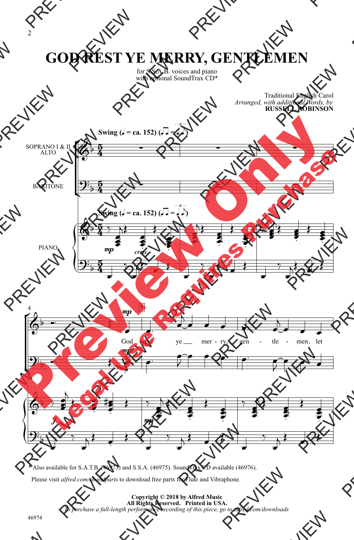## **GOD REST YE MERRY, GENTLEMEN**

for S.S.A.B. voices and piano with optional SoundTrax CD\*

> Traditional English Carol *Arranged, with additional Words, by* **RUSSELL ROBINSON**



<sup>\*</sup> Also available for S.A.T.B. (46973) and S.S.A. (46975). SoundTrax CD available (46976).

Please visit *alfred.com/choralparts* to download free parts for Flute and Vibraphone.

**Copyright © 2018 by Alfred Music All Rights Reserved. Printed in USA.** *To purchase a full-length performance recording of this piece, go to alfred.com/downloads*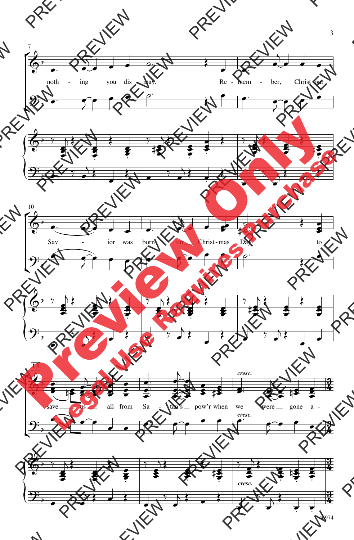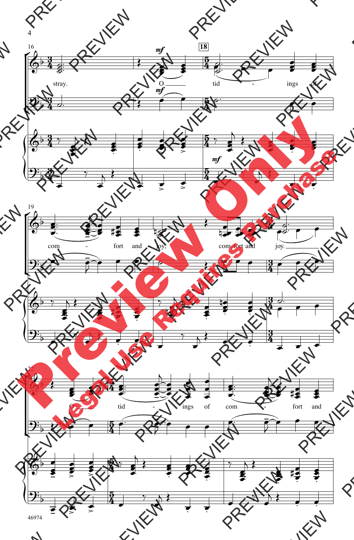

46974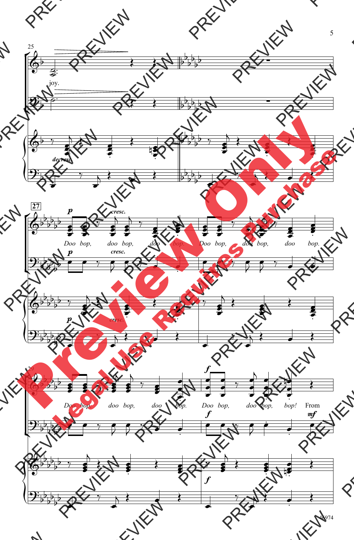![](_page_3_Figure_0.jpeg)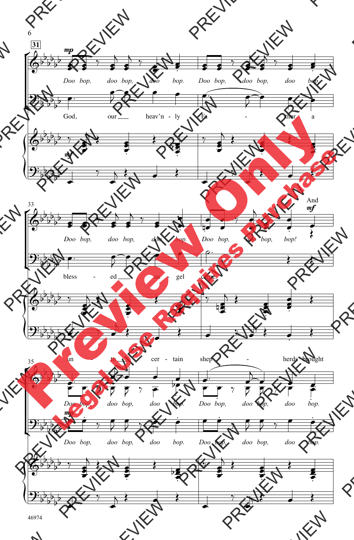![](_page_4_Figure_0.jpeg)

46974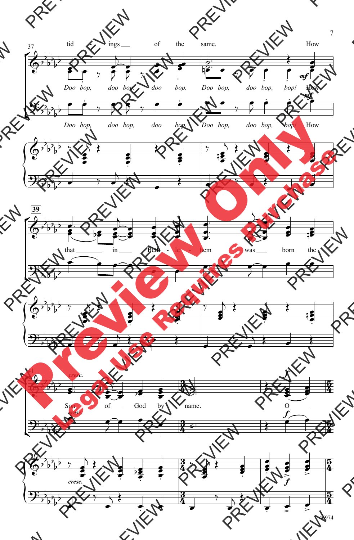![](_page_5_Figure_0.jpeg)

<sup>46974</sup>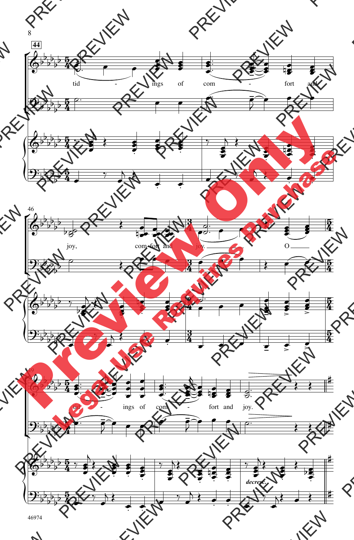![](_page_6_Figure_0.jpeg)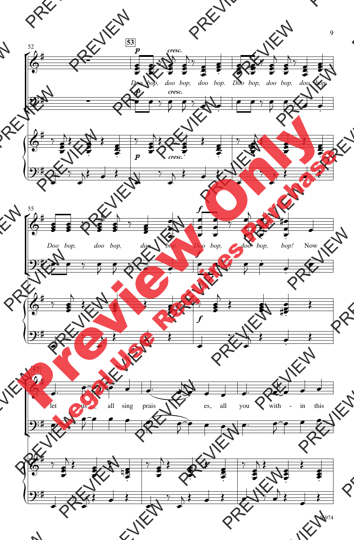![](_page_7_Figure_0.jpeg)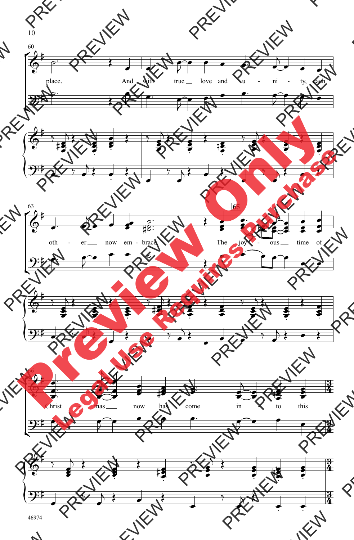![](_page_8_Figure_0.jpeg)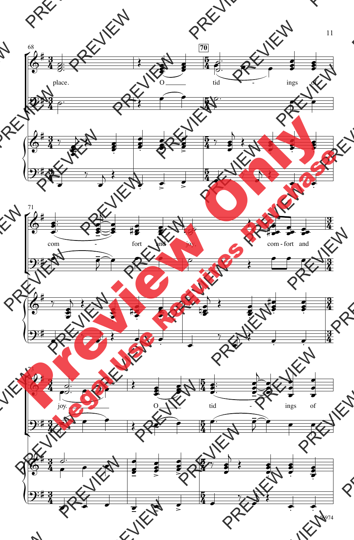![](_page_9_Figure_0.jpeg)